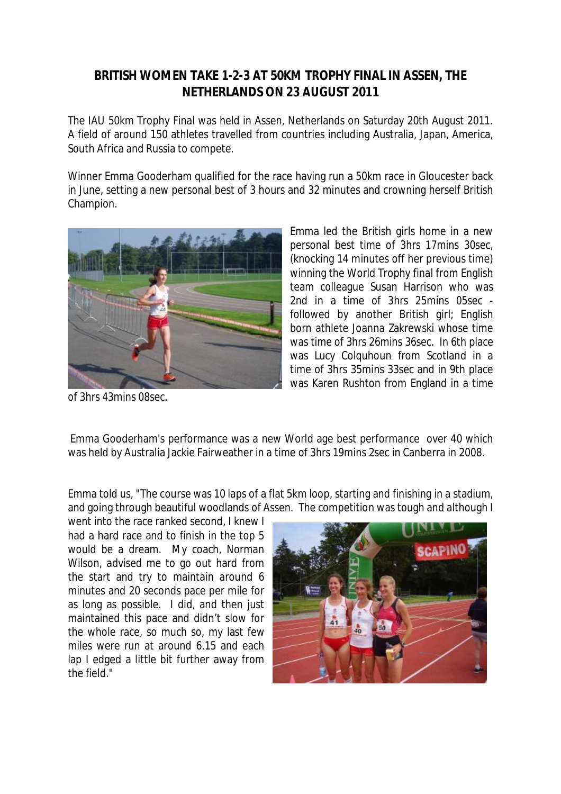## **BRITISH WOMEN TAKE 1-2-3 AT 50KM TROPHY FINAL IN ASSEN, THE NETHERLANDS ON 23 AUGUST 2011**

The IAU 50km Trophy Final was held in Assen, Netherlands on Saturday 20th August 2011. A field of around 150 athletes travelled from countries including Australia, Japan, America, South Africa and Russia to compete.

Winner Emma Gooderham qualified for the race having run a 50km race in Gloucester back in June, setting a new personal best of 3 hours and 32 minutes and crowning herself British Champion.



Emma led the British girls home in a new personal best time of 3hrs 17mins 30sec, (knocking 14 minutes off her previous time) winning the World Trophy final from English team colleague Susan Harrison who was 2nd in a time of 3hrs 25mins 05sec followed by another British girl; English born athlete Joanna Zakrewski whose time was time of 3hrs 26mins 36sec. In 6th place was Lucy Colquhoun from Scotland in a time of 3hrs 35mins 33sec and in 9th place was Karen Rushton from England in a time

of 3hrs 43mins 08sec.

Emma Gooderham's performance was a new World age best performance over 40 which was held by Australia Jackie Fairweather in a time of 3hrs 19mins 2sec in Canberra in 2008.

Emma told us, "The course was 10 laps of a flat 5km loop, starting and finishing in a stadium, and going through beautiful woodlands of Assen. The competition was tough and although I

went into the race ranked second, I knew I had a hard race and to finish in the top 5 would be a dream. My coach, Norman Wilson, advised me to go out hard from the start and try to maintain around 6 minutes and 20 seconds pace per mile for as long as possible. I did, and then just maintained this pace and didn't slow for the whole race, so much so, my last few miles were run at around 6.15 and each lap I edged a little bit further away from the field."